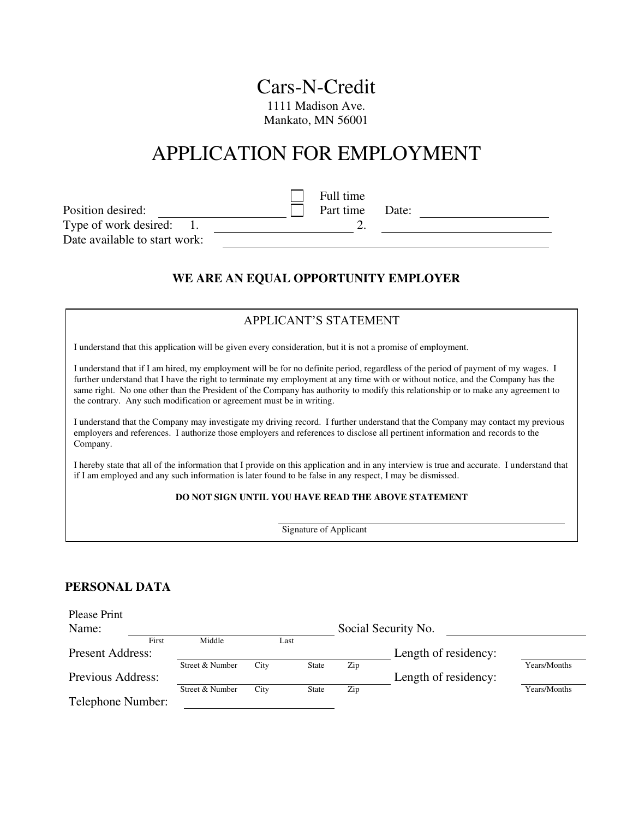## Cars-N-Credit 1111 Madison Ave.

Mankato, MN 56001

# APPLICATION FOR EMPLOYMENT

|                               |  | Full time |       |  |
|-------------------------------|--|-----------|-------|--|
| Position desired:             |  | Part time | Date: |  |
| Type of work desired:         |  |           |       |  |
| Date available to start work: |  |           |       |  |

## **WE ARE AN EQUAL OPPORTUNITY EMPLOYER**

| APPLICANT'S STATEMENT                                                                                                                                                                                                                                                                                                                                                                                                                                                            |
|----------------------------------------------------------------------------------------------------------------------------------------------------------------------------------------------------------------------------------------------------------------------------------------------------------------------------------------------------------------------------------------------------------------------------------------------------------------------------------|
| I understand that this application will be given every consideration, but it is not a promise of employment.                                                                                                                                                                                                                                                                                                                                                                     |
| I understand that if I am hired, my employment will be for no definite period, regardless of the period of payment of my wages. I<br>further understand that I have the right to terminate my employment at any time with or without notice, and the Company has the<br>same right. No one other than the President of the Company has authority to modify this relationship or to make any agreement to<br>the contrary. Any such modification or agreement must be in writing. |
| I understand that the Company may investigate my driving record. I further understand that the Company may contact my previous<br>employers and references. I authorize those employers and references to disclose all pertinent information and records to the<br>Company.                                                                                                                                                                                                      |
| I hereby state that all of the information that I provide on this application and in any interview is true and accurate. I understand that<br>if I am employed and any such information is later found to be false in any respect. I may be dismissed.                                                                                                                                                                                                                           |
| DO NOT SIGN UNTIL YOU HAVE READ THE ABOVE STATEMENT                                                                                                                                                                                                                                                                                                                                                                                                                              |

Signature of Applicant

#### **PERSONAL DATA**

| Please Print            |       |                 |      |              |     |                      |              |
|-------------------------|-------|-----------------|------|--------------|-----|----------------------|--------------|
| Name:                   |       |                 |      |              |     | Social Security No.  |              |
|                         | First | Middle          |      | Last         |     |                      |              |
| <b>Present Address:</b> |       |                 |      |              |     | Length of residency: |              |
|                         |       | Street & Number | City | <b>State</b> | Zip |                      | Years/Months |
| Previous Address:       |       |                 |      |              |     | Length of residency: |              |
|                         |       | Street & Number | City | <b>State</b> | Zip |                      | Years/Months |
| Telephone Number:       |       |                 |      |              |     |                      |              |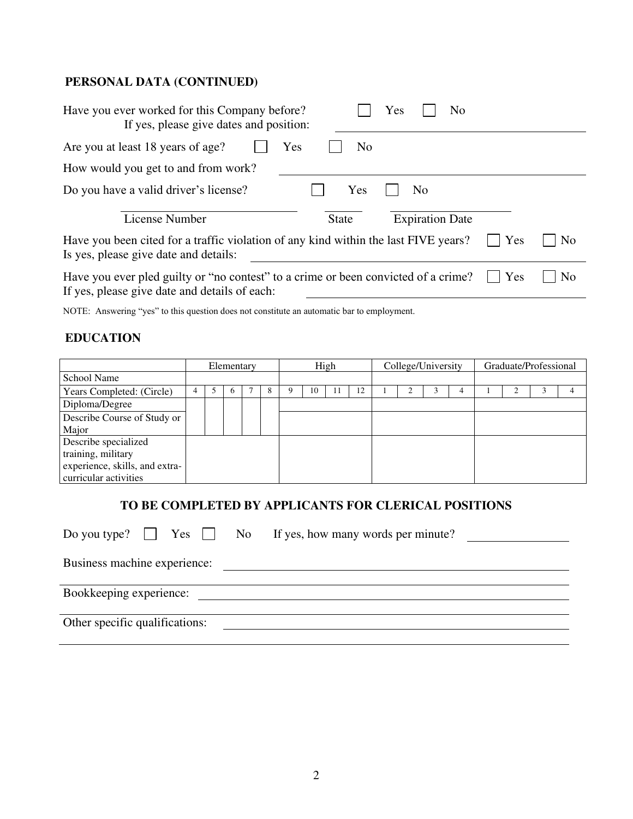## **PERSONAL DATA (CONTINUED)**

| Have you ever worked for this Company before?<br>If yes, please give dates and position:                                            | Yes<br>No                              |
|-------------------------------------------------------------------------------------------------------------------------------------|----------------------------------------|
| Are you at least 18 years of age?<br>Yes                                                                                            | N <sub>0</sub>                         |
| How would you get to and from work?                                                                                                 |                                        |
| Do you have a valid driver's license?                                                                                               | Yes<br>No                              |
| License Number                                                                                                                      | <b>Expiration Date</b><br><b>State</b> |
| Have you been cited for a traffic violation of any kind within the last FIVE years?<br>Is yes, please give date and details:        | Yes<br>N <sub>0</sub>                  |
| Have you ever pled guilty or "no contest" to a crime or been convicted of a crime?<br>If yes, please give date and details of each: | Yes<br>N <sub>0</sub>                  |

NOTE: Answering "yes" to this question does not constitute an automatic bar to employment.

#### **EDUCATION**

|                                | Elementary |  | High         |  | College/University |    |    | Graduate/Professional |  |  |  |  |  |  |  |
|--------------------------------|------------|--|--------------|--|--------------------|----|----|-----------------------|--|--|--|--|--|--|--|
| <b>School Name</b>             |            |  |              |  |                    |    |    |                       |  |  |  |  |  |  |  |
| Years Completed: (Circle)      |            |  | <sub>(</sub> |  |                    | 10 | 12 |                       |  |  |  |  |  |  |  |
| Diploma/Degree                 |            |  |              |  |                    |    |    |                       |  |  |  |  |  |  |  |
| Describe Course of Study or    |            |  |              |  |                    |    |    |                       |  |  |  |  |  |  |  |
| Major                          |            |  |              |  |                    |    |    |                       |  |  |  |  |  |  |  |
| Describe specialized           |            |  |              |  |                    |    |    |                       |  |  |  |  |  |  |  |
| training, military             |            |  |              |  |                    |    |    |                       |  |  |  |  |  |  |  |
| experience, skills, and extra- |            |  |              |  |                    |    |    |                       |  |  |  |  |  |  |  |
| curricular activities          |            |  |              |  |                    |    |    |                       |  |  |  |  |  |  |  |

## **TO BE COMPLETED BY APPLICANTS FOR CLERICAL POSITIONS**

|                                | Do you type? $\Box$ Yes $\Box$ No If yes, how many words per minute? |  |
|--------------------------------|----------------------------------------------------------------------|--|
| Business machine experience:   |                                                                      |  |
| Bookkeeping experience:        |                                                                      |  |
| Other specific qualifications: |                                                                      |  |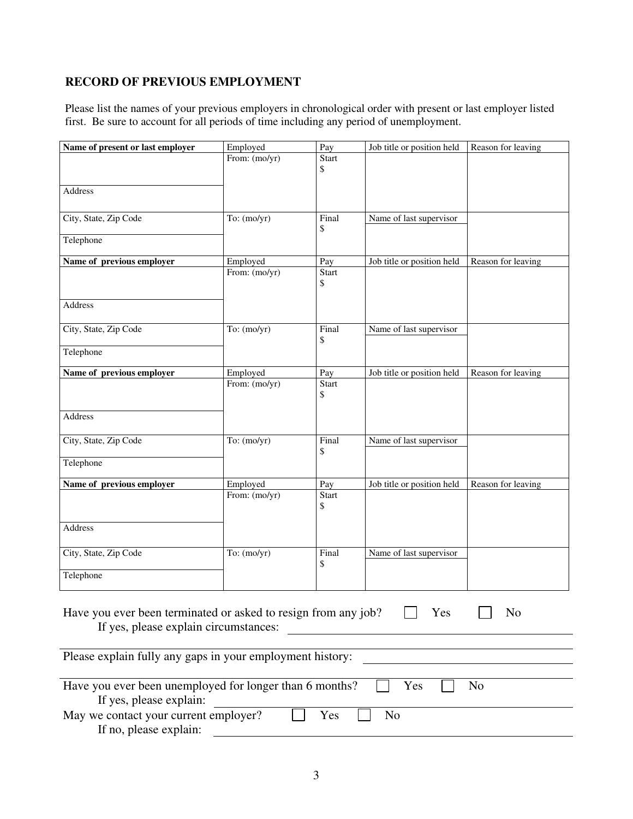## **RECORD OF PREVIOUS EMPLOYMENT**

Please list the names of your previous employers in chronological order with present or last employer listed first. Be sure to account for all periods of time including any period of unemployment.

| Name of present or last employer                                                                        | Employed      | Pay                | Job title or position held | Reason for leaving |
|---------------------------------------------------------------------------------------------------------|---------------|--------------------|----------------------------|--------------------|
|                                                                                                         | From: (mo/yr) | Start<br>\$        |                            |                    |
| <b>Address</b>                                                                                          |               |                    |                            |                    |
| City, State, Zip Code                                                                                   | To: $(mo/yr)$ | Final<br>\$        | Name of last supervisor    |                    |
| Telephone                                                                                               |               |                    |                            |                    |
| Name of previous employer                                                                               | Employed      | Pay                | Job title or position held | Reason for leaving |
|                                                                                                         | From: (mo/yr) | <b>Start</b><br>\$ |                            |                    |
| Address                                                                                                 |               |                    |                            |                    |
| City, State, Zip Code                                                                                   | To: $(mo/yr)$ | Final<br>\$        | Name of last supervisor    |                    |
| Telephone                                                                                               |               |                    |                            |                    |
| Name of previous employer                                                                               | Employed      | Pay                | Job title or position held | Reason for leaving |
|                                                                                                         | From: (mo/yr) | <b>Start</b><br>\$ |                            |                    |
| Address                                                                                                 |               |                    |                            |                    |
| City, State, Zip Code                                                                                   | To: $(mo/yr)$ | Final<br>\$        | Name of last supervisor    |                    |
| Telephone                                                                                               |               |                    |                            |                    |
| Name of previous employer                                                                               | Employed      | Pay                | Job title or position held | Reason for leaving |
|                                                                                                         | From: (mo/yr) | <b>Start</b><br>\$ |                            |                    |
| Address                                                                                                 |               |                    |                            |                    |
| City, State, Zip Code                                                                                   | To: $(mo/yr)$ | Final<br>\$        | Name of last supervisor    |                    |
| Telephone                                                                                               |               |                    |                            |                    |
| Have you ever been terminated or asked to resign from any job?<br>If yes, please explain circumstances: |               |                    | Yes                        | N <sub>o</sub>     |
| Please explain fully any gaps in your employment history:                                               |               |                    |                            |                    |
| Have you ever been unemployed for longer than 6 months?<br>If yes, please explain:                      |               |                    | Yes                        | No                 |
| May we contact your current employer?<br>If no, please explain:                                         |               | Yes                | N <sub>o</sub>             |                    |